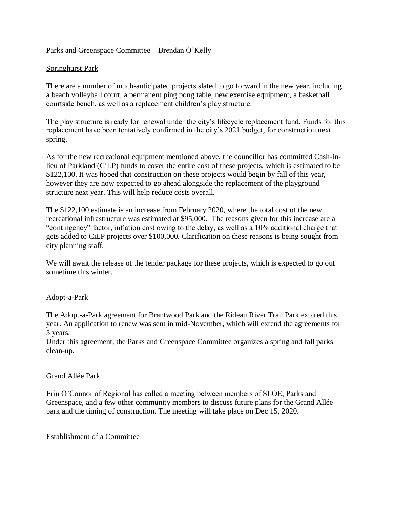# Parks and Greenspace Committee – Brendan O'Kelly

## Springhurst Park

There are a number of much-anticipated projects slated to go forward in the new year, including a beach volleyball court, a permanent ping pong table, new exercise equipment, a basketball courtside bench, as well as a replacement children's play structure.

The play structure is ready for renewal under the city's lifecycle replacement fund. Funds for this replacement have been tentatively confirmed in the city's 2021 budget, for construction next spring.

As for the new recreational equipment mentioned above, the councillor has committed Cash-inlieu of Parkland (CiLP) funds to cover the entire cost of these projects, which is estimated to be \$122,100. It was hoped that construction on these projects would begin by fall of this year, however they are now expected to go ahead alongside the replacement of the playground structure next year. This will help reduce costs overall.

The \$122,100 estimate is an increase from February 2020, where the total cost of the new recreational infrastructure was estimated at \$95,000. The reasons given for this increase are a "contingency" factor, inflation cost owing to the delay, as well as a 10% additional charge that gets added to CiLP projects over \$100,000. Clarification on these reasons is being sought from city planning staff.

We will await the release of the tender package for these projects, which is expected to go out sometime this winter.

#### Adopt-a-Park

The Adopt-a-Park agreement for Brantwood Park and the Rideau River Trail Park expired this year. An application to renew was sent in mid-November, which will extend the agreements for 5 years.

Under this agreement, the Parks and Greenspace Committee organizes a spring and fall parks clean-up.

#### Grand Allée Park

Erin O'Connor of Regional has called a meeting between members of SLOE, Parks and Greenspace, and a few other community members to discuss future plans for the Grand Allée park and the timing of construction. The meeting will take place on Dec 15, 2020.

## Establishment of a Committee